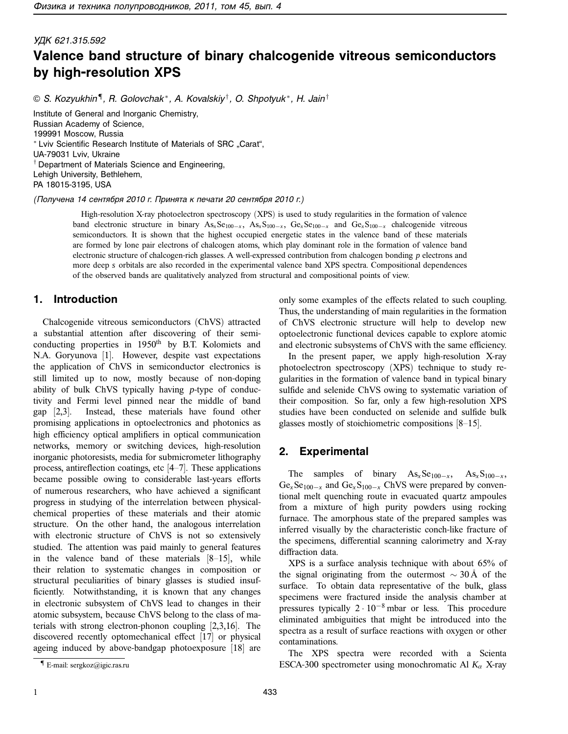# УДК 621.315.592 **Valence band structure of binary chalcogenide vitreous semiconductors by high-resolution XPS**

© S. Kozyukhin¶, R. Golovchak\*, A. Kovalskiy†, O. Shpotyuk\*, H. Jain†

Institute of General and Inorganic Chemistry, Russian Academy of Science, 199991 Moscow, Russia \* Lviv Scientific Research Institute of Materials of SRC "Carat", UA-79031 Lviv, Ukraine † Department of Materials Science and Engineering, Lehigh University, Bethlehem, PA 18015-3195, USA

(Получена <sup>14</sup> сентября 2010 г. Принята <sup>к</sup> печати 20 сентября 2010 г.)

High-resolution X-ray photoelectron spectroscopy (XPS) is used to study regularities in the formation of valence band electronic structure in binary  $As_xS_{100-x}$ ,  $As_xS_{100-x}$ ,  $Ge_xS_{100-x}$  and  $Ge_xS_{100-x}$  chalcogenide vitreous semiconductors. It is shown that the highest occupied energetic states in the valence band of these materials are formed by lone pair electrons of chalcogen atoms, which play dominant role in the formation of valence band electronic structure of chalcogen-rich glasses. A well-expressed contribution from chalcogen bonding *p* electrons and more deep *s* orbitals are also recorded in the experimental valence band XPS spectra. Compositional dependences of the observed bands are qualitatively analyzed from structural and compositional points of view.

#### **1. Introduction**

Chalcogenide vitreous semiconductors (ChVS) attracted a substantial attention after discovering of their semiconducting properties in  $1950<sup>th</sup>$  by B.T. Kolomiets and N.A. Goryunova [1]. However, despite vast expectations the application of ChVS in semiconductor electronics is still limited up to now, mostly because of non-doping ability of bulk ChVS typically having *p*-type of conductivity and Fermi level pinned near the middle of band gap [2,3]. Instead, these materials have found other promising applications in optoelectronics and photonics as high efficiency optical amplifiers in optical communication networks, memory or switching devices, high-resolution inorganic photoresists, media for submicrometer lithography process, antireflection coatings, etc [4–7]. These applications became possible owing to considerable last-years efforts of numerous researchers, who have achieved a significant progress in studying of the interrelation between physicalchemical properties of these materials and their atomic structure. On the other hand, the analogous interrelation with electronic structure of ChVS is not so extensively studied. The attention was paid mainly to general features in the valence band of these materials [8–15], while their relation to systematic changes in composition or structural peculiarities of binary glasses is studied insufficiently. Notwithstanding, it is known that any changes in electronic subsystem of ChVS lead to changes in their atomic subsystem, because ChVS belong to the class of materials with strong electron-phonon coupling [2,3,16]. The discovered recently optomechanical effect [17] or physical ageing induced by above-bandgap photoexposure [18] are only some examples of the effects related to such coupling. Thus, the understanding of main regularities in the formation of ChVS electronic structure will help to develop new optoelectronic functional devices capable to explore atomic and electronic subsystems of ChVS with the same efficiency.

In the present paper, we apply high-resolution X-ray photoelectron spectroscopy (XPS) technique to study regularities in the formation of valence band in typical binary sulfide and selenide ChVS owing to systematic variation of their composition. So far, only a few high-resolution XPS studies have been conducted on selenide and sulfide bulk glasses mostly of stoichiometric compositions [8–15].

## **2. Experimental**

The samples of binary  $As_xSe_{100-x}$ ,  $As_xS_{100-x}$ ,  $Ge_xSe_{100-x}$  and  $Ge_xS_{100-x}$  ChVS were prepared by conventional melt quenching route in evacuated quartz ampoules from a mixture of high purity powders using rocking furnace. The amorphous state of the prepared samples was inferred visually by the characteristic conch-like fracture of the specimens, differential scanning calorimetry and X-ray diffraction data.

XPS is a surface analysis technique with about 65% of the signal originating from the outermost  $\sim$  30Å of the surface. To obtain data representative of the bulk, glass specimens were fractured inside the analysis chamber at pressures typically  $2 \cdot 10^{-8}$  mbar or less. This procedure eliminated ambiguities that might be introduced into the spectra as a result of surface reactions with oxygen or other contaminations.

The XPS spectra were recorded with a Scienta ESCA-300 spectrometer using monochromatic Al *K<sup>α</sup>* X-ray

<sup>¶</sup> E-mail: sergkoz@igic.ras.ru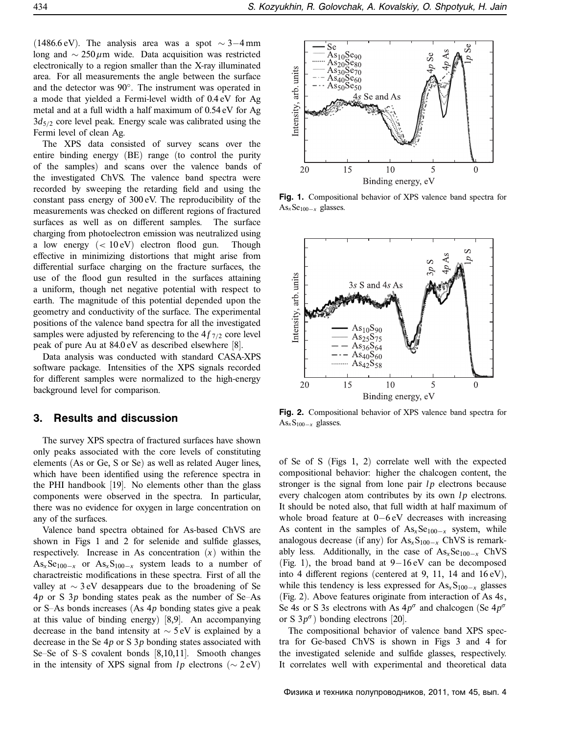(1486.6 eV). The analysis area was a spot  $\sim$  3–4 mm long and ∼ 250 *µ*m wide. Data acquisition was restricted electronically to a region smaller than the X-ray illuminated area. For all measurements the angle between the surface and the detector was 90°. The instrument was operated in a mode that yielded a Fermi-level width of 0.4 eV for Ag metal and at a full width a half maximum of 0.54 eV for Ag 3*d*5*/*<sup>2</sup> core level peak. Energy scale was calibrated using the Fermi level of clean Ag.

The XPS data consisted of survey scans over the entire binding energy (BE) range (to control the purity of the samples) and scans over the valence bands of the investigated ChVS. The valence band spectra were recorded by sweeping the retarding field and using the constant pass energy of 300 eV. The reproducibility of the measurements was checked on different regions of fractured surfaces as well as on different samples. The surface charging from photoelectron emission was neutralized using a low energy (*<* 10 eV) electron flood gun. Though effective in minimizing distortions that might arise from differential surface charging on the fracture surfaces, the use of the flood gun resulted in the surfaces attaining a uniform, though net negative potential with respect to earth. The magnitude of this potential depended upon the geometry and conductivity of the surface. The experimental positions of the valence band spectra for all the investigated samples were adjusted by referencing to the  $4f_{7/2}$  core level peak of pure Au at 84.0 eV as described elsewhere [8].

Data analysis was conducted with standard CASA-XPS software package. Intensities of the XPS signals recorded for different samples were normalized to the high-energy background level for comparison.

### **3. Results and discussion**

The survey XPS spectra of fractured surfaces have shown only peaks associated with the core levels of constituting elements (As or Ge, S or Se) as well as related Auger lines, which have been identified using the reference spectra in the PHI handbook [19]. No elements other than the glass components were observed in the spectra. In particular, there was no evidence for oxygen in large concentration on any of the surfaces.

Valence band spectra obtained for As-based ChVS are shown in Figs 1 and 2 for selenide and sulfide glasses, respectively. Increase in As concentration (*x*) within the  $As_x Se_{100-x}$  or  $As_x S_{100-x}$  system leads to a number of charactreistic modifications in these spectra. First of all the valley at ∼ 3 eV desappears due to the broadening of Se 4*p* or S 3*p* bonding states peak as the number of Se–As or S–As bonds increases (As 4*p* bonding states give a peak at this value of binding energy) [8,9]. An accompanying decrease in the band intensity at ∼ 5 eV is explained by a decrease in the Se 4*p* or S 3*p* bonding states associated with Se–Se of S–S covalent bonds [8,10,11]. Smooth changes in the intensity of XPS signal from  $lp$  electrons ( $\sim$  2 eV)



**Fig. 1.** Compositional behavior of XPS valence band spectra for As*x*Se100−*<sup>x</sup>* glasses.



**Fig. 2.** Compositional behavior of XPS valence band spectra for As*x*S100−*<sup>x</sup>* glasses.

of Se of S (Figs 1, 2) correlate well with the expected compositional behavior: higher the chalcogen content, the stronger is the signal from lone pair  $lp$  electrons because every chalcogen atom contributes by its own *lp* electrons. It should be noted also, that full width at half maximum of whole broad feature at 0−6 eV decreases with increasing As content in the samples of As<sub>*x*</sub>Se<sub>100−*x*</sub> system, while analogous decrease (if any) for  $\text{As}_x\text{S}_{100-x}$  ChVS is remarkably less. Additionally, in the case of As<sub>*x*</sub>Se<sub>100−*x*</sub> ChVS (Fig. 1), the broad band at 9−16 eV can be decomposed into 4 different regions (centered at 9, 11, 14 and 16 eV), while this tendency is less expressed for As<sub>*x*</sub>S<sub>100−*x*</sub> glasses (Fig. 2). Above features originate from interaction of As 4*s*, Se 4*s* or S 3*s* electrons with As  $4p^{\sigma}$  and chalcogen (Se  $4p^{\sigma}$ or S  $3p^{\sigma}$ ) bonding electrons [20].

The compositional behavior of valence band XPS spectra for Ge-based ChVS is shown in Figs 3 and 4 for the investigated selenide and sulfide glasses, respectively. It correlates well with experimental and theoretical data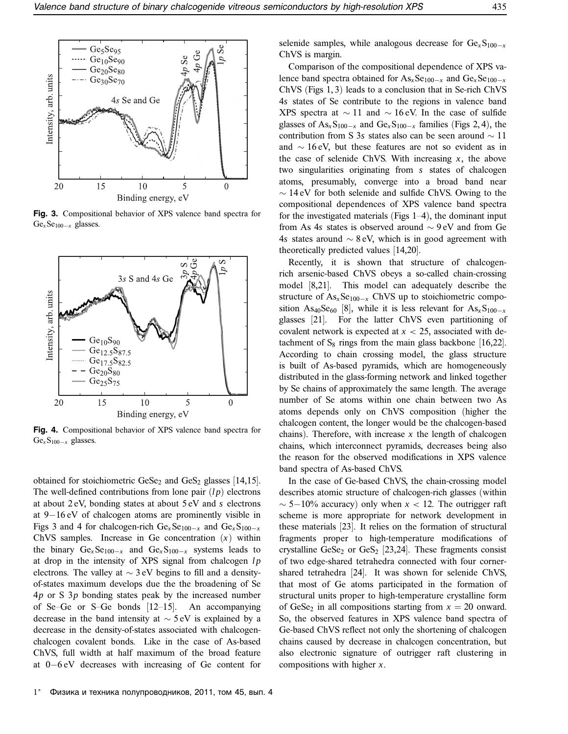

**Fig. 3.** Compositional behavior of XPS valence band spectra for Ge*<sup>x</sup>* Se100−*<sup>x</sup>* glasses.



**Fig. 4.** Compositional behavior of XPS valence band spectra for Ge*<sup>x</sup>* S100−*<sup>x</sup>* glasses.

obtained for stoichiometric  $Ges_{2}$  and  $Ges_{2}$  glasses [14,15]. The well-defined contributions from lone pair (*l p*) electrons at about 2 eV, bonding states at about 5 eV and *s* electrons at 9−16 eV of chalcogen atoms are prominently visible in Figs 3 and 4 for chalcogen-rich  $Ge_x Se_{100-x}$  and  $Ge_x S_{100-x}$ ChVS samples. Increase in Ge concentration  $(x)$  within the binary  $Ge_x Se_{100-x}$  and  $Ge_xS_{100-x}$  systems leads to at drop in the intensity of XPS signal from chalcogen *lp* electrons. The valley at  $\sim$  3 eV begins to fill and a densityof-states maximum develops due the the broadening of Se 4*p* or S 3*p* bonding states peak by the increased number of Se–Ge or S–Ge bonds [12–15]. An accompanying decrease in the band intensity at  $\sim$  5 eV is explained by a decrease in the density-of-states associated with chalcogenchalcogen covalent bonds. Like in the case of As-based ChVS, full width at half maximum of the broad feature at 0−6 eV decreases with increasing of Ge content for selenide samples, while analogous decrease for  $Ge<sub>x</sub>S<sub>100−*x*</sub>$ ChVS is margin.

Comparison of the compositional dependence of XPS valence band spectra obtained for  $\text{As}_x\text{Se}_{100-x}$  and  $\text{Ge}_x\text{Se}_{100-x}$ ChVS (Figs 1, 3) leads to a conclusion that in Se-rich ChVS 4*s* states of Se contribute to the regions in valence band XPS spectra at  $\sim$  11 and  $\sim$  16 eV. In the case of sulfide glasses of  $As_xS_{100-x}$  and  $Ge_xS_{100-x}$  families (Figs 2, 4), the contribution from S 3*s* states also can be seen around ∼ 11 and ∼ 16 eV, but these features are not so evident as in the case of selenide ChVS. With increasing *x*, the above two singularities originating from *s* states of chalcogen atoms, presumably, converge into a broad band near  $\sim$  14 eV for both selenide and sulfide ChVS. Owing to the compositional dependences of XPS valence band spectra for the investigated materials (Figs 1–4), the dominant input from As 4*s* states is observed around ∼ 9 eV and from Ge 4*s* states around ∼ 8 eV, which is in good agreement with theoretically predicted values [14,20].

Recently, it is shown that structure of chalcogenrich arsenic-based ChVS obeys a so-called chain-crossing model [8,21]. This model can adequately describe the structure of  $As_x Se_{100-x}$  ChVS up to stoichiometric composition As<sub>40</sub>Se<sub>60</sub> [8], while it is less relevant for As<sub>*x*</sub>S<sub>100−*x*</sub> glasses [21]. For the latter ChVS even partitioning of covalent network is expected at  $x < 25$ , associated with detachment of  $S_8$  rings from the main glass backbone [16,22]. According to chain crossing model, the glass structure is built of As-based pyramids, which are homogeneously distributed in the glass-forming network and linked together by Se chains of approximately the same length. The average number of Se atoms within one chain between two As atoms depends only on ChVS composition (higher the chalcogen content, the longer would be the chalcogen-based chains). Therefore, with increase  $x$  the length of chalcogen chains, which interconnect pyramids, decreases being also the reason for the observed modifications in XPS valence band spectra of As-based ChVS.

In the case of Ge-based ChVS, the chain-crossing model describes atomic structure of chalcogen-rich glasses (within ∼ 5−10% accuracy) only when *x <* 12. The outrigger raft scheme is more appropriate for network development in these materials [23]. It relies on the formation of structural fragments proper to high-temperature modifications of crystalline  $GeSe<sub>2</sub>$  or  $GeSe<sub>2</sub>$  [23,24]. These fragments consist of two edge-shared tetrahedra connected with four cornershared tetrahedra [24]. It was shown for selenide ChVS, that most of Ge atoms participated in the formation of structural units proper to high-temperature crystalline form of GeSe<sub>2</sub> in all compositions starting from  $x = 20$  onward. So, the observed features in XPS valence band spectra of Ge-based ChVS reflect not only the shortening of chalcogen chains caused by decrease in chalcogen concentration, but also electronic signature of outrigger raft clustering in compositions with higher *x*.